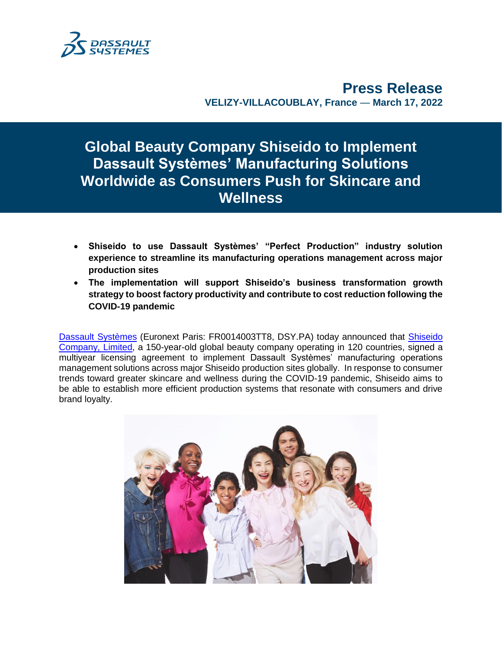

**Press Release VELIZY-VILLACOUBLAY, France** — **March 17, 2022**

**Global Beauty Company Shiseido to Implement Dassault Systèmes' Manufacturing Solutions Worldwide as Consumers Push for Skincare and Wellness**

- **Shiseido to use Dassault Systèmes' "Perfect Production" industry solution experience to streamline its manufacturing operations management across major production sites**
- **The implementation will support Shiseido's business transformation growth strategy to boost factory productivity and contribute to cost reduction following the COVID-19 pandemic**

[Dassault Systèmes](http://www.3ds.com/) (Euronext Paris: FR0014003TT8, DSY.PA) today announced that [Shiseido](https://corp.shiseido.com/en/)  [Company, Limited,](https://corp.shiseido.com/en/) a 150-year-old global beauty company operating in 120 countries, signed a multiyear licensing agreement to implement Dassault Systèmes' manufacturing operations management solutions across major Shiseido production sites globally. In response to consumer trends toward greater skincare and wellness during the COVID-19 pandemic, Shiseido aims to be able to establish more efficient production systems that resonate with consumers and drive brand loyalty.

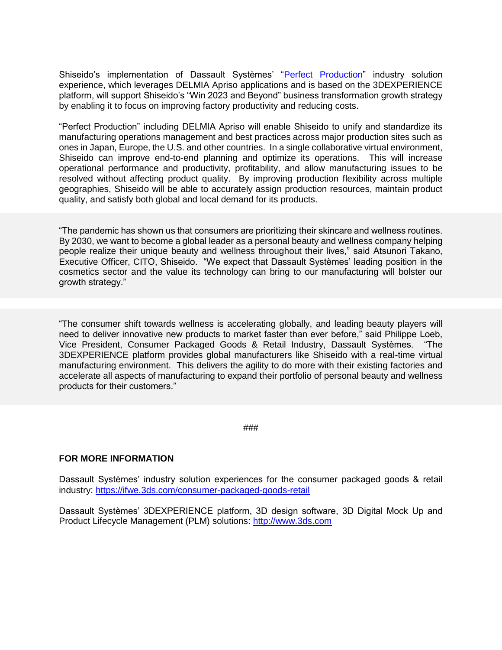Shiseido's implementation of Dassault Systèmes' ["Perfect Production"](https://my.3dexperience.3ds.com/welcome/compass-world/3dexperience-industries/consumer-packaged-goods-retail/perfect-production) industry solution experience, which leverages DELMIA Apriso applications and is based on the 3DEXPERIENCE platform, will support Shiseido's "Win 2023 and Beyond" business transformation growth strategy by enabling it to focus on improving factory productivity and reducing costs.

"Perfect Production" including DELMIA Apriso will enable Shiseido to unify and standardize its manufacturing operations management and best practices across major production sites such as ones in Japan, Europe, the U.S. and other countries. In a single collaborative virtual environment, Shiseido can improve end-to-end planning and optimize its operations. This will increase operational performance and productivity, profitability, and allow manufacturing issues to be resolved without affecting product quality. By improving production flexibility across multiple geographies, Shiseido will be able to accurately assign production resources, maintain product quality, and satisfy both global and local demand for its products.

"The pandemic has shown us that consumers are prioritizing their skincare and wellness routines. By 2030, we want to become a global leader as a personal beauty and wellness company helping people realize their unique beauty and wellness throughout their lives," said Atsunori Takano, Executive Officer, CITO, Shiseido. "We expect that Dassault Systèmes' leading position in the cosmetics sector and the value its technology can bring to our manufacturing will bolster our growth strategy."

"The consumer shift towards wellness is accelerating globally, and leading beauty players will need to deliver innovative new products to market faster than ever before," said Philippe Loeb, Vice President, Consumer Packaged Goods & Retail Industry, Dassault Systèmes. "The 3DEXPERIENCE platform provides global manufacturers like Shiseido with a real-time virtual manufacturing environment. This delivers the agility to do more with their existing factories and accelerate all aspects of manufacturing to expand their portfolio of personal beauty and wellness products for their customers."

###

## **FOR MORE INFORMATION**

Dassault Systèmes' industry solution experiences for the consumer packaged goods & retail industry:<https://ifwe.3ds.com/consumer-packaged-goods-retail>

Dassault Systèmes' 3DEXPERIENCE platform, 3D design software, 3D Digital Mock Up and Product Lifecycle Management (PLM) solutions: [http://www.3ds.com](http://www.3ds.com/)